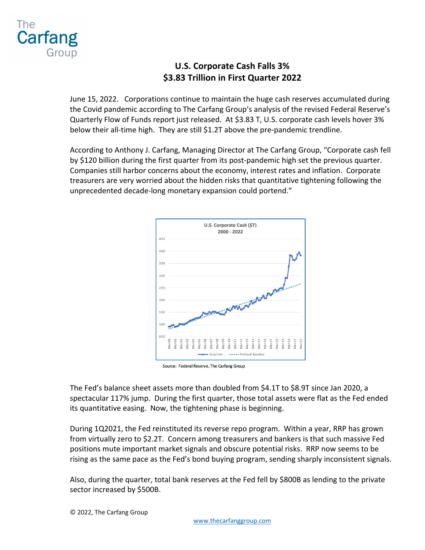

## **U.S. Corporate Cash Falls 3% \$3.83 Trillion in First Quarter 2022**

June 15, 2022. Corporations continue to maintain the huge cash reserves accumulated during the Covid pandemic according to The Carfang Group's analysis of the revised Federal Reserve's Quarterly Flow of Funds report just released. At \$3.83 T, U.S. corporate cash levels hover 3% below their all-time high. They are still \$1.2T above the pre-pandemic trendline.

According to Anthony J. Carfang, Managing Director at The Carfang Group, "Corporate cash fell by \$120 billion during the first quarter from its post-pandemic high set the previous quarter. Companies still harbor concerns about the economy, interest rates and inflation. Corporate treasurers are very worried about the hidden risks that quantitative tightening following the unprecedented decade-long monetary expansion could portend."



Source: Federal Reserve, The Carfang Group

The Fed's balance sheet assets more than doubled from \$4.1T to \$8.9T since Jan 2020, a spectacular 117% jump. During the first quarter, those total assets were flat as the Fed ended its quantitative easing. Now, the tightening phase is beginning.

During 1Q2021, the Fed reinstituted its reverse repo program. Within a year, RRP has grown from virtually zero to \$2.2T. Concern among treasurers and bankers is that such massive Fed positions mute important market signals and obscure potential risks. RRP now seems to be rising as the same pace as the Fed's bond buying program, sending sharply inconsistent signals.

Also, during the quarter, total bank reserves at the Fed fell by \$800B as lending to the private sector increased by \$500B.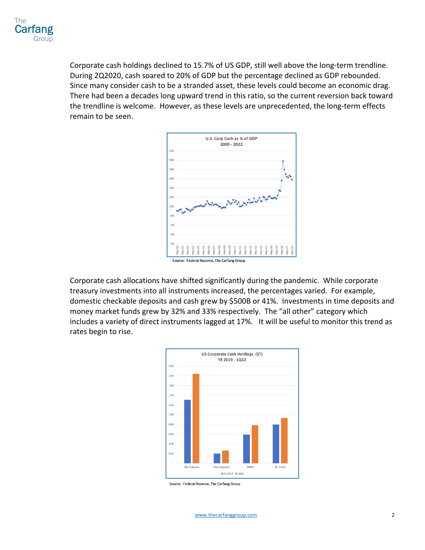

Corporate cash holdings declined to 15.7% of US GDP, still well above the long-term trendline. During 2Q2020, cash soared to 20% of GDP but the percentage declined as GDP rebounded. Since many consider cash to be a stranded asset, these levels could become an economic drag. There had been a decades long upward trend in this ratio, so the current reversion back toward the trendline is welcome. However, as these levels are unprecedented, the long-term effects remain to be seen.



Corporate cash allocations have shifted significantly during the pandemic. While corporate treasury investments into all instruments increased, the percentages varied. For example, domestic checkable deposits and cash grew by \$500B or 41%. Investments in time deposits and money market funds grew by 32% and 33% respectively. The "all other" category which includes a variety of direct instruments lagged at 17%. It will be useful to monitor this trend as rates begin to rise.



Source: Federal Reserve, The Carfang Group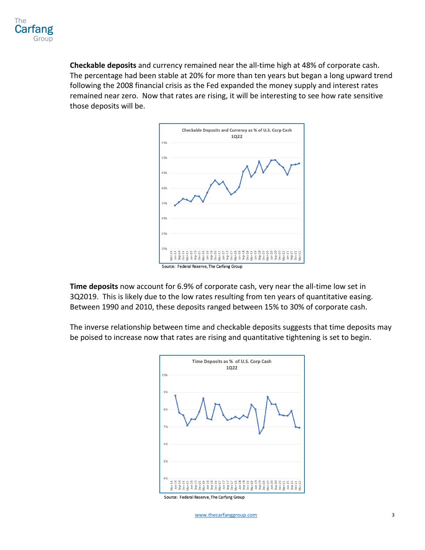**Checkable deposits** and currency remained near the all-time high at 48% of corporate cash. The percentage had been stable at 20% for more than ten years but began a long upward trend following the 2008 financial crisis as the Fed expanded the money supply and interest rates remained near zero. Now that rates are rising, it will be interesting to see how rate sensitive those deposits will be.



**Time deposits** now account for 6.9% of corporate cash, very near the all-time low set in 3Q2019. This is likely due to the low rates resulting from ten years of quantitative easing. Between 1990 and 2010, these deposits ranged between 15% to 30% of corporate cash.

The inverse relationship between time and checkable deposits suggests that time deposits may be poised to increase now that rates are rising and quantitative tightening is set to begin.



Source: Federal Reserve, The Carfang Group